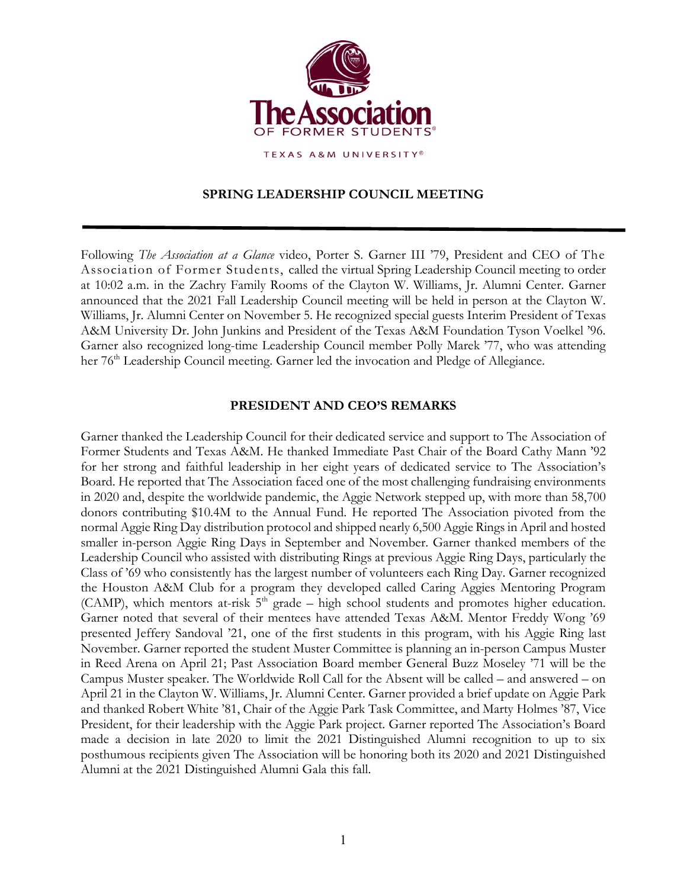

# **SPRING LEADERSHIP COUNCIL MEETING**

Following *The Association at a Glance* video, Porter S. Garner III '79, President and CEO of The Association of Former Students, called the virtual Spring Leadership Council meeting to order at 10:02 a.m. in the Zachry Family Rooms of the Clayton W. Williams, Jr. Alumni Center. Garner announced that the 2021 Fall Leadership Council meeting will be held in person at the Clayton W. Williams, Jr. Alumni Center on November 5. He recognized special guests Interim President of Texas A&M University Dr. John Junkins and President of the Texas A&M Foundation Tyson Voelkel '96. Garner also recognized long-time Leadership Council member Polly Marek '77, who was attending her 76<sup>th</sup> Leadership Council meeting. Garner led the invocation and Pledge of Allegiance.

## **PRESIDENT AND CEO'S REMARKS**

Garner thanked the Leadership Council for their dedicated service and support to The Association of Former Students and Texas A&M. He thanked Immediate Past Chair of the Board Cathy Mann '92 for her strong and faithful leadership in her eight years of dedicated service to The Association's Board. He reported that The Association faced one of the most challenging fundraising environments in 2020 and, despite the worldwide pandemic, the Aggie Network stepped up, with more than 58,700 donors contributing \$10.4M to the Annual Fund. He reported The Association pivoted from the normal Aggie Ring Day distribution protocol and shipped nearly 6,500 Aggie Rings in April and hosted smaller in-person Aggie Ring Days in September and November. Garner thanked members of the Leadership Council who assisted with distributing Rings at previous Aggie Ring Days, particularly the Class of '69 who consistently has the largest number of volunteers each Ring Day. Garner recognized the Houston A&M Club for a program they developed called Caring Aggies Mentoring Program (CAMP), which mentors at-risk  $5<sup>th</sup>$  grade – high school students and promotes higher education. Garner noted that several of their mentees have attended Texas A&M. Mentor Freddy Wong '69 presented Jeffery Sandoval '21, one of the first students in this program, with his Aggie Ring last November. Garner reported the student Muster Committee is planning an in-person Campus Muster in Reed Arena on April 21; Past Association Board member General Buzz Moseley '71 will be the Campus Muster speaker. The Worldwide Roll Call for the Absent will be called – and answered – on April 21 in the Clayton W. Williams, Jr. Alumni Center. Garner provided a brief update on Aggie Park and thanked Robert White '81, Chair of the Aggie Park Task Committee, and Marty Holmes '87, Vice President, for their leadership with the Aggie Park project. Garner reported The Association's Board made a decision in late 2020 to limit the 2021 Distinguished Alumni recognition to up to six posthumous recipients given The Association will be honoring both its 2020 and 2021 Distinguished Alumni at the 2021 Distinguished Alumni Gala this fall.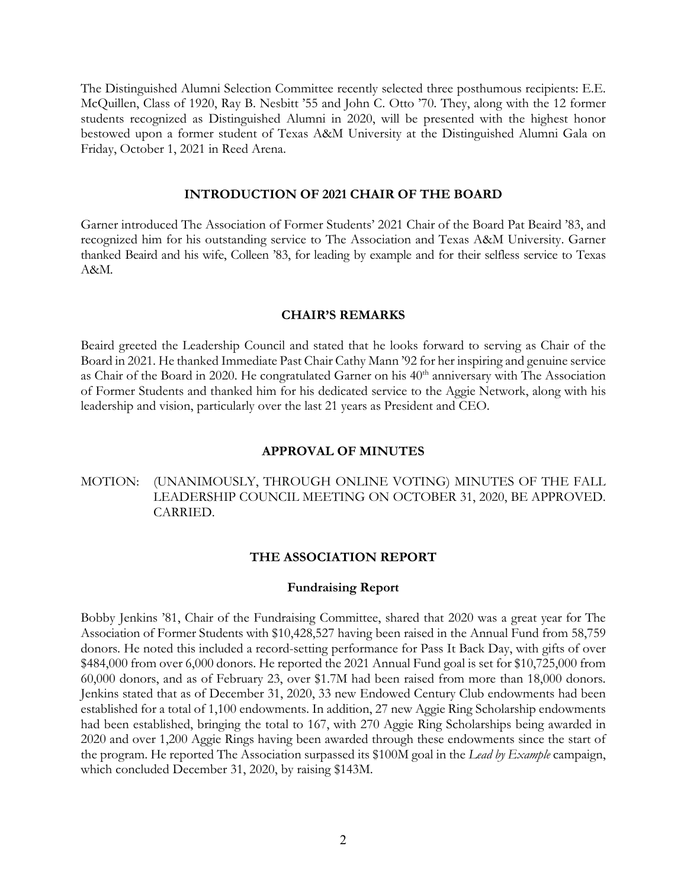The Distinguished Alumni Selection Committee recently selected three posthumous recipients: E.E. McQuillen, Class of 1920, Ray B. Nesbitt '55 and John C. Otto '70. They, along with the 12 former students recognized as Distinguished Alumni in 2020, will be presented with the highest honor bestowed upon a former student of Texas A&M University at the Distinguished Alumni Gala on Friday, October 1, 2021 in Reed Arena.

### **INTRODUCTION OF 2021 CHAIR OF THE BOARD**

Garner introduced The Association of Former Students' 2021 Chair of the Board Pat Beaird '83, and recognized him for his outstanding service to The Association and Texas A&M University. Garner thanked Beaird and his wife, Colleen '83, for leading by example and for their selfless service to Texas A&M.

### **CHAIR'S REMARKS**

Beaird greeted the Leadership Council and stated that he looks forward to serving as Chair of the Board in 2021. He thanked Immediate Past Chair Cathy Mann '92 for her inspiring and genuine service as Chair of the Board in 2020. He congratulated Garner on his 40<sup>th</sup> anniversary with The Association of Former Students and thanked him for his dedicated service to the Aggie Network, along with his leadership and vision, particularly over the last 21 years as President and CEO.

### **APPROVAL OF MINUTES**

## MOTION: (UNANIMOUSLY, THROUGH ONLINE VOTING) MINUTES OF THE FALL LEADERSHIP COUNCIL MEETING ON OCTOBER 31, 2020, BE APPROVED. CARRIED.

### **THE ASSOCIATION REPORT**

### **Fundraising Report**

Bobby Jenkins '81, Chair of the Fundraising Committee, shared that 2020 was a great year for The Association of Former Students with \$10,428,527 having been raised in the Annual Fund from 58,759 donors. He noted this included a record-setting performance for Pass It Back Day, with gifts of over \$484,000 from over 6,000 donors. He reported the 2021 Annual Fund goal is set for \$10,725,000 from 60,000 donors, and as of February 23, over \$1.7M had been raised from more than 18,000 donors. Jenkins stated that as of December 31, 2020, 33 new Endowed Century Club endowments had been established for a total of 1,100 endowments. In addition, 27 new Aggie Ring Scholarship endowments had been established, bringing the total to 167, with 270 Aggie Ring Scholarships being awarded in 2020 and over 1,200 Aggie Rings having been awarded through these endowments since the start of the program. He reported The Association surpassed its \$100M goal in the *Lead by Example* campaign, which concluded December 31, 2020, by raising \$143M.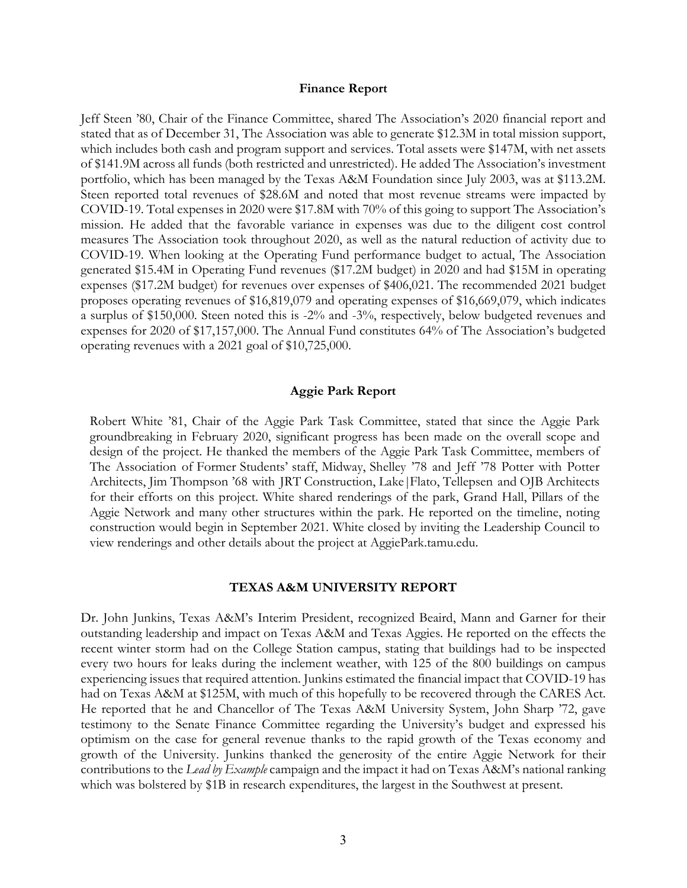#### **Finance Report**

Jeff Steen '80, Chair of the Finance Committee, shared The Association's 2020 financial report and stated that as of December 31, The Association was able to generate \$12.3M in total mission support, which includes both cash and program support and services. Total assets were \$147M, with net assets of \$141.9M across all funds (both restricted and unrestricted). He added The Association's investment portfolio, which has been managed by the Texas A&M Foundation since July 2003, was at \$113.2M. Steen reported total revenues of \$28.6M and noted that most revenue streams were impacted by COVID-19. Total expenses in 2020 were \$17.8M with 70% of this going to support The Association's mission. He added that the favorable variance in expenses was due to the diligent cost control measures The Association took throughout 2020, as well as the natural reduction of activity due to COVID-19. When looking at the Operating Fund performance budget to actual, The Association generated \$15.4M in Operating Fund revenues (\$17.2M budget) in 2020 and had \$15M in operating expenses (\$17.2M budget) for revenues over expenses of \$406,021. The recommended 2021 budget proposes operating revenues of \$16,819,079 and operating expenses of \$16,669,079, which indicates a surplus of \$150,000. Steen noted this is -2% and -3%, respectively, below budgeted revenues and expenses for 2020 of \$17,157,000. The Annual Fund constitutes 64% of The Association's budgeted operating revenues with a 2021 goal of \$10,725,000.

### **Aggie Park Report**

Robert White '81, Chair of the Aggie Park Task Committee, stated that since the Aggie Park groundbreaking in February 2020, significant progress has been made on the overall scope and design of the project. He thanked the members of the Aggie Park Task Committee, members of The Association of Former Students' staff, Midway, Shelley '78 and Jeff '78 Potter with Potter Architects, Jim Thompson '68 with JRT Construction, Lake|Flato, Tellepsen and OJB Architects for their efforts on this project. White shared renderings of the park, Grand Hall, Pillars of the Aggie Network and many other structures within the park. He reported on the timeline, noting construction would begin in September 2021. White closed by inviting the Leadership Council to view renderings and other details about the project at AggiePark.tamu.edu.

#### **TEXAS A&M UNIVERSITY REPORT**

Dr. John Junkins, Texas A&M's Interim President, recognized Beaird, Mann and Garner for their outstanding leadership and impact on Texas A&M and Texas Aggies. He reported on the effects the recent winter storm had on the College Station campus, stating that buildings had to be inspected every two hours for leaks during the inclement weather, with 125 of the 800 buildings on campus experiencing issues that required attention. Junkins estimated the financial impact that COVID-19 has had on Texas A&M at \$125M, with much of this hopefully to be recovered through the CARES Act. He reported that he and Chancellor of The Texas A&M University System, John Sharp '72, gave testimony to the Senate Finance Committee regarding the University's budget and expressed his optimism on the case for general revenue thanks to the rapid growth of the Texas economy and growth of the University. Junkins thanked the generosity of the entire Aggie Network for their contributions to the *Lead by Example* campaign and the impact it had on Texas A&M's national ranking which was bolstered by \$1B in research expenditures, the largest in the Southwest at present.